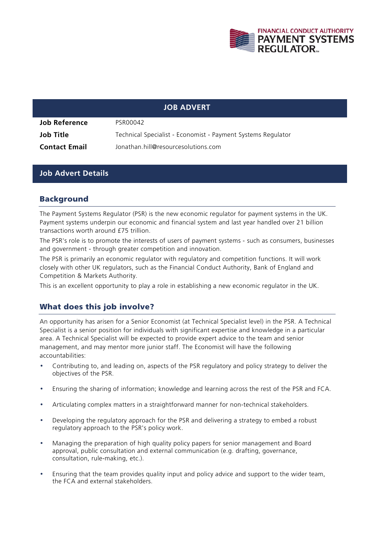

### **JOB ADVERT**

| Job Reference        | PSR00042                                                     |
|----------------------|--------------------------------------------------------------|
| Job Title            | Technical Specialist - Economist - Payment Systems Regulator |
| <b>Contact Email</b> | Jonathan.hill@resourcesolutions.com                          |

### **Job Advert Details**

### Background

The Payment Systems Regulator (PSR) is the new economic regulator for payment systems in the UK. Payment systems underpin our economic and financial system and last year handled over 21 billion transactions worth around £75 trillion.

The PSR's role is to promote the interests of users of payment systems - such as consumers, businesses and government - through greater competition and innovation.

The PSR is primarily an economic regulator with regulatory and competition functions. It will work closely with other UK regulators, such as the Financial Conduct Authority, Bank of England and Competition & Markets Authority.

This is an excellent opportunity to play a role in establishing a new economic regulator in the UK.

## What does this job involve?

An opportunity has arisen for a Senior Economist (at Technical Specialist level) in the PSR. A Technical Specialist is a senior position for individuals with significant expertise and knowledge in a particular area. A Technical Specialist will be expected to provide expert advice to the team and senior management, and may mentor more junior staff. The Economist will have the following accountabilities:

- Contributing to, and leading on, aspects of the PSR regulatory and policy strategy to deliver the objectives of the PSR.
- Ensuring the sharing of information; knowledge and learning across the rest of the PSR and FCA.
- Articulating complex matters in a straightforward manner for non-technical stakeholders.
- Developing the regulatory approach for the PSR and delivering a strategy to embed a robust regulatory approach to the PSR's policy work.
- Managing the preparation of high quality policy papers for senior management and Board approval, public consultation and external communication (e.g. drafting, governance, consultation, rule-making, etc.).
- Ensuring that the team provides quality input and policy advice and support to the wider team, the FCA and external stakeholders.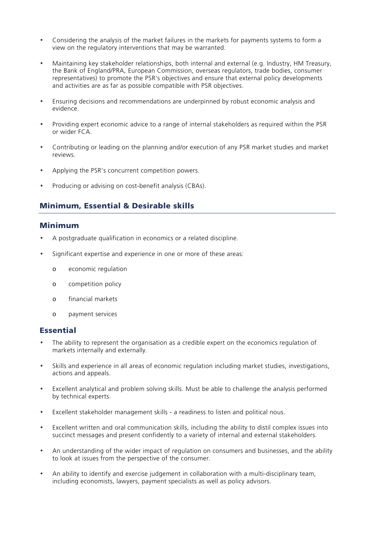- Considering the analysis of the market failures in the markets for payments systems to form a view on the regulatory interventions that may be warranted.
- Maintaining key stakeholder relationships, both internal and external (e.g. Industry, HM Treasury, the Bank of England/PRA, European Commission, overseas regulators, trade bodies, consumer representatives) to promote the PSR's objectives and ensure that external policy developments and activities are as far as possible compatible with PSR objectives.
- Ensuring decisions and recommendations are underpinned by robust economic analysis and evidence.
- Providing expert economic advice to a range of internal stakeholders as required within the PSR or wider FCA.
- Contributing or leading on the planning and/or execution of any PSR market studies and market reviews.
- Applying the PSR's concurrent competition powers.
- Producing or advising on cost-benefit analysis (CBAs).

## Minimum, Essential & Desirable skills

#### Minimum

- A postgraduate qualification in economics or a related discipline.
- Significant expertise and experience in one or more of these areas:
	- o economic regulation
	- o competition policy
	- o financial markets
	- o payment services

#### Essential

- The ability to represent the organisation as a credible expert on the economics regulation of markets internally and externally.
- Skills and experience in all areas of economic regulation including market studies, investigations, actions and appeals.
- Excellent analytical and problem solving skills. Must be able to challenge the analysis performed by technical experts.
- Excellent stakeholder management skills a readiness to listen and political nous.
- Excellent written and oral communication skills, including the ability to distil complex issues into succinct messages and present confidently to a variety of internal and external stakeholders.
- An understanding of the wider impact of regulation on consumers and businesses, and the ability to look at issues from the perspective of the consumer.
- An ability to identify and exercise judgement in collaboration with a multi-disciplinary team, including economists, lawyers, payment specialists as well as policy advisors.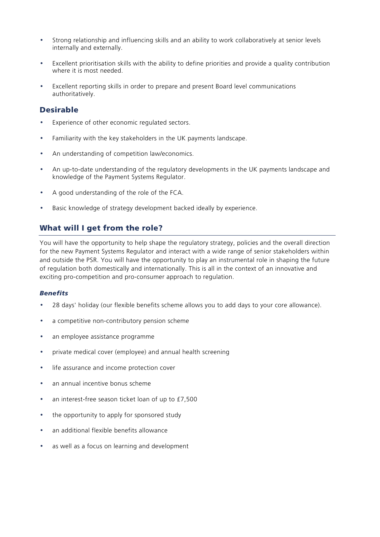- Strong relationship and influencing skills and an ability to work collaboratively at senior levels internally and externally.
- Excellent prioritisation skills with the ability to define priorities and provide a quality contribution where it is most needed.
- Excellent reporting skills in order to prepare and present Board level communications authoritatively.

## Desirable

- Experience of other economic regulated sectors.
- Familiarity with the key stakeholders in the UK payments landscape.
- An understanding of competition law/economics.
- An up-to-date understanding of the regulatory developments in the UK payments landscape and knowledge of the Payment Systems Regulator.
- A good understanding of the role of the FCA.
- Basic knowledge of strategy development backed ideally by experience.

# What will I get from the role?

You will have the opportunity to help shape the regulatory strategy, policies and the overall direction for the new Payment Systems Regulator and interact with a wide range of senior stakeholders within and outside the PSR. You will have the opportunity to play an instrumental role in shaping the future of regulation both domestically and internationally. This is all in the context of an innovative and exciting pro-competition and pro-consumer approach to regulation.

#### *Benefits*

- 28 days' holiday (our flexible benefits scheme allows you to add days to your core allowance).
- a competitive non-contributory pension scheme
- an employee assistance programme
- private medical cover (employee) and annual health screening
- life assurance and income protection cover
- an annual incentive bonus scheme
- an interest-free season ticket loan of up to £7,500
- the opportunity to apply for sponsored study
- an additional flexible benefits allowance
- as well as a focus on learning and development